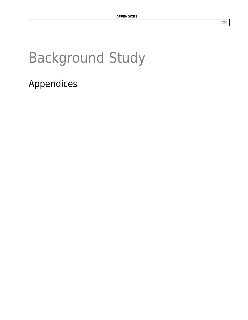# Background Study

## Appendices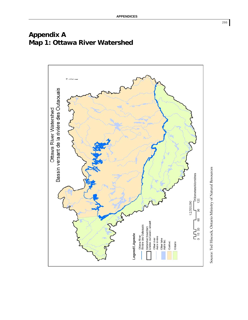**Appendix A Map 1: Ottawa River Watershed** 



Source: Ted Hiscock, Ontario Ministry of Natural Resources Source: Ted Hiscock, Ontario Ministry of Natural Resources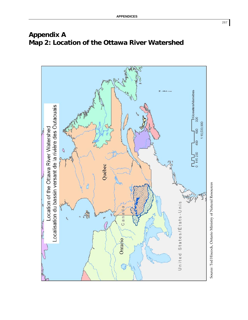

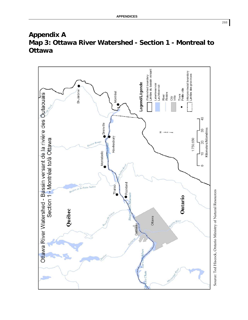#### **Appendix A Map 3: Ottawa River Watershed - Section 1 - Montreal to Ottawa**

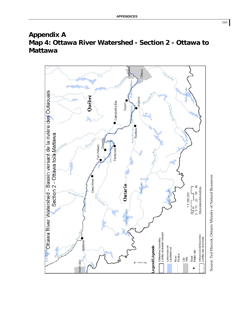#### **Appendix A Map 4: Ottawa River Watershed - Section 2 - Ottawa to Mattawa**

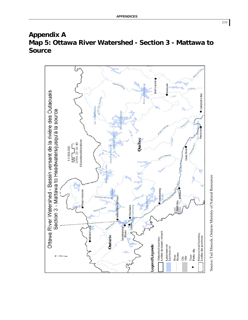#### **Appendix A Map 5: Ottawa River Watershed - Section 3 - Mattawa to Source**



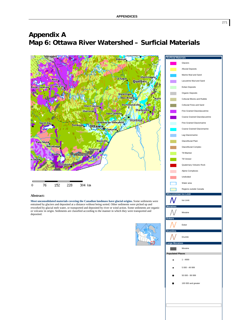

#### **Appendix A Map 6: Ottawa River Watershed – Surficial Materials**

entrained by glaciers and deposited at a distance without being sorted. Other sediments were picked up and reworked by glacial melt water, or transported and deposited by river or wind action. Some sediments are organic or volcanic in origin. Sediments are classified according to the manner in which they were transported and deposited.



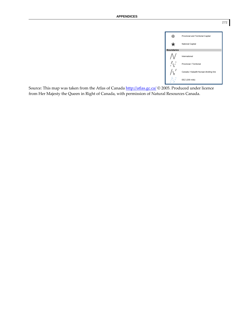|                   | Provincial and Territorial Capital      |
|-------------------|-----------------------------------------|
|                   | National Capital                        |
| <b>Boundaries</b> |                                         |
|                   | International                           |
|                   | Provincial / Territorial                |
|                   | Canada / Kalaallit Nunaat dividing line |
|                   | EEZ (200 mile)                          |

Source: This map was taken from the Atlas of Canada http://atlas.gc.ca/ © 2005. Produced under licence from Her Majesty the Queen in Right of Canada, with permission of Natural Resources Canada.

**272**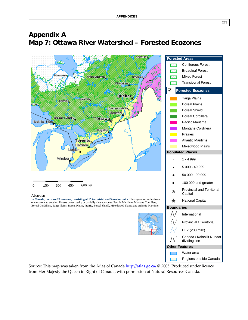

#### **Appendix A Map 7: Ottawa River Watershed – Forested Ecozones**

Source: This map was taken from the Atlas of Canada http://atlas.gc.ca/ © 2005. Produced under licence from Her Majesty the Queen in Right of Canada, with permission of Natural Resources Canada.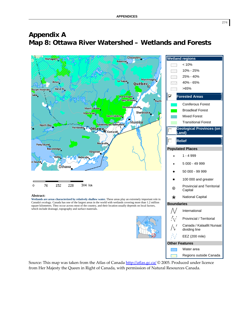

#### **Appendix A Map 8: Ottawa River Watershed – Wetlands and Forests**

Source: This map was taken from the Atlas of Canada http://atlas.gc.ca/ © 2005. Produced under licence from Her Majesty the Queen in Right of Canada, with permission of Natural Resources Canada.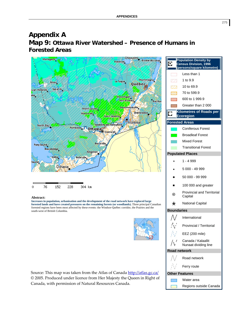#### **Appendix A Map 9: Ottawa River Watershed – Presence of Humans in Forested Areas**



Source: This map was taken from the Atlas of Canada http://atlas.gc.ca/ © 2005. Produced under licence from Her Majesty the Queen in Right of Canada, with permission of Natural Resources Canada.

|                       | <b>Population Density by</b><br>Census Division, 1996<br>(persons/square kilometre) |
|-----------------------|-------------------------------------------------------------------------------------|
|                       | Less than 1                                                                         |
| zzi                   | 1 to 9.9                                                                            |
|                       | 10 to 69.9                                                                          |
| w                     | 70 to 599.9                                                                         |
| 9999.                 | 600 to 1 999.9                                                                      |
| <b>WARNER</b>         | Greater than 2000                                                                   |
|                       | <b>Kilometres of Roads per</b><br><b>Ecoregion</b>                                  |
|                       | <b>Forested Areas</b>                                                               |
|                       | <b>Coniferous Forest</b>                                                            |
|                       | <b>Broadleaf Forest</b>                                                             |
|                       | <b>Mixed Forest</b>                                                                 |
|                       | <b>Transitional Forest</b>                                                          |
|                       | <b>Populated Places</b>                                                             |
| ۰                     | 1 - 4 999                                                                           |
|                       | 5 000 - 49 999                                                                      |
|                       | 50 000 - 99 999                                                                     |
|                       | 100 000 and greater                                                                 |
| ⊙                     | <b>Provincial and Territorial</b><br>Capital                                        |
|                       | <b>National Capital</b>                                                             |
| <b>Boundaries</b>     |                                                                                     |
|                       | International                                                                       |
|                       | Provincial / Territorial                                                            |
|                       | EEZ (200 mile)                                                                      |
|                       | Canada / Kalaallit<br>Nunaat dividing line                                          |
| <b>Road network</b>   |                                                                                     |
|                       | Road network                                                                        |
|                       | Ferry route                                                                         |
| <b>Other Features</b> |                                                                                     |
|                       | Water area                                                                          |
|                       | Regions outside Canada                                                              |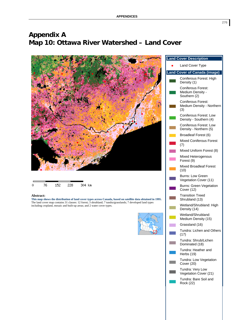### **Appendix A Map 10: Ottawa River Watershed – Land Cover**





#### **Abstract:**

**This map shows the distribution of land cover types across Canada, based on satellite data obtained in 1995.** The land cover map contains 31 classes: 12 forest; 3 shrubland; 7 tundra/grasslands; 7 developed land types including cropland, mosaic and built-up areas; and 2 water cover types.



|                                                                                                                       | <b>Land Cover Description</b>                                 |
|-----------------------------------------------------------------------------------------------------------------------|---------------------------------------------------------------|
|                                                                                                                       | Land Cover Type                                               |
|                                                                                                                       | <b>Land Cover of Canada (image)</b>                           |
|                                                                                                                       | Coniferous Forest: High<br>Density (1)                        |
|                                                                                                                       | <b>Coniferous Forest:</b><br>Medium Density -<br>Southern (2) |
| and the state of the state of the state of the state of the state of the state of the state of the state of th        | <b>Coniferous Forest:</b><br>Medium Density - Northern<br>(3) |
| <b>Contract Contract Contract Contract Contract Contract Contract Contract Contract Contract Contract Contract Co</b> | <b>Coniferous Forest: Low</b><br>Density - Southern (4)       |
|                                                                                                                       | Coniferous Forest: Low<br>Density - Northern (5)              |
|                                                                                                                       | Broadleaf Forest (6)                                          |
|                                                                                                                       | <b>Mixed Coniferous Forest</b><br>(7)                         |
|                                                                                                                       | Mixed Uniform Forest (8)                                      |
|                                                                                                                       | Mixed Heterogenous<br>Forest (9)                              |
|                                                                                                                       | <b>Mixed Broadleaf Forest</b><br>(10)                         |
|                                                                                                                       | Burns: Low Green<br>Vegetation Cover (11)                     |
|                                                                                                                       | <b>Burns: Green Vegetation</b><br>Cover (12)                  |
|                                                                                                                       | <b>Transition Treed</b><br>Shrubland (13)                     |
|                                                                                                                       | Wetland/Shrubland: High<br>Density (14)                       |
|                                                                                                                       | Wetland/Shrubland:<br>Medium Density (15)                     |
|                                                                                                                       | Grassland (16)                                                |
|                                                                                                                       | Tundra: Lichen and Others<br>(17)                             |
|                                                                                                                       | Tundra: Shrub/Lichen<br>Dominated (18)                        |
|                                                                                                                       | Tundra: Heather and<br>Herbs (19)                             |
|                                                                                                                       | Tundra: Low Vegetation<br>Cover (20)                          |
|                                                                                                                       | Tundra: Very Low<br>Vegetation Cover (21)                     |
|                                                                                                                       | Tundra: Bare Soil and<br>Rock (22)                            |
|                                                                                                                       |                                                               |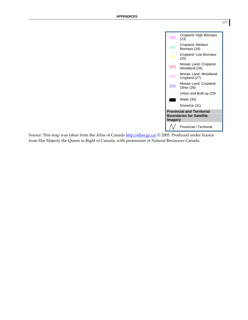

Source: This map was taken from the Atlas of Canada http://atlas.gc.ca/ © 2005. Produced under licence from Her Majesty the Queen in Right of Canada, with permission of Natural Resources Canada.

**277**